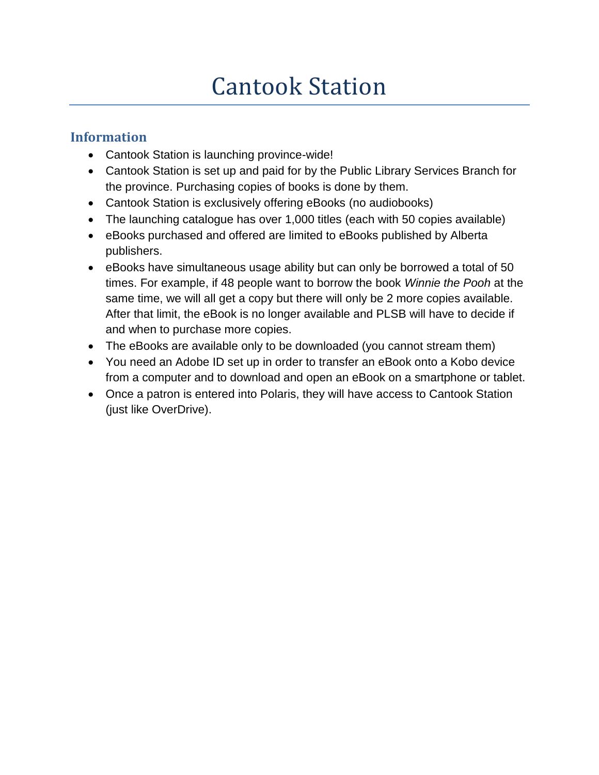# Cantook Station

## **Information**

- Cantook Station is launching province-wide!
- Cantook Station is set up and paid for by the Public Library Services Branch for the province. Purchasing copies of books is done by them.
- Cantook Station is exclusively offering eBooks (no audiobooks)
- The launching catalogue has over 1,000 titles (each with 50 copies available)
- eBooks purchased and offered are limited to eBooks published by Alberta publishers.
- eBooks have simultaneous usage ability but can only be borrowed a total of 50 times. For example, if 48 people want to borrow the book *Winnie the Pooh* at the same time, we will all get a copy but there will only be 2 more copies available. After that limit, the eBook is no longer available and PLSB will have to decide if and when to purchase more copies.
- The eBooks are available only to be downloaded (you cannot stream them)
- You need an Adobe ID set up in order to transfer an eBook onto a Kobo device from a computer and to download and open an eBook on a smartphone or tablet.
- Once a patron is entered into Polaris, they will have access to Cantook Station (just like OverDrive).